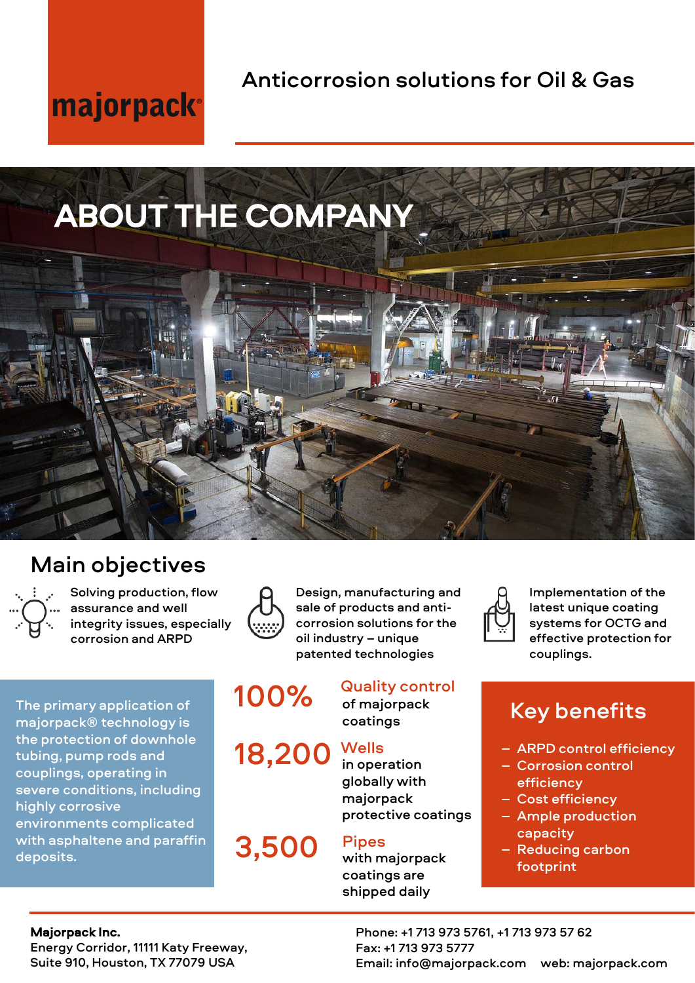# majorpack®

Anticorrosion solutions for Oil & Gas

# ABOUT THE COMPANY



## Main objectives



Solving production, flow assurance and well integrity issues, especially corrosion and ARPD

The primary application of majorpack® technology is the protection of downhole tubing, pump rods and couplings, operating in severe conditions, including highly corrosive environments complicated with asphaltene and paraffin deposits.



Design, manufacturing and sale of products and anticorrosion solutions for the oil industry – unique patented technologies

# 100%

18,200



3,500

### Quality control

of majorpack coatings

### **Wells**

in operation globally with majorpack protective coatings

### Pipes

with majorpack coatings are shipped daily



Implementation of the latest unique coating systems for OCTG and effective protection for couplings.

## Key benefits

- ARPD control efficiency
- Corrosion control efficiency
- Cost efficiency
- Ample production capacity
- Reducing carbon footprint

#### Majorpack Inc.

Energy Corridor, 11111 Katy Freeway, Suite 910, Houston, TX 77079 USA

Phone: +1 713 973 5761, +1 713 973 57 62 Fax: +1 713 973 5777 Email: info@majorpack.com web: majorpack.com